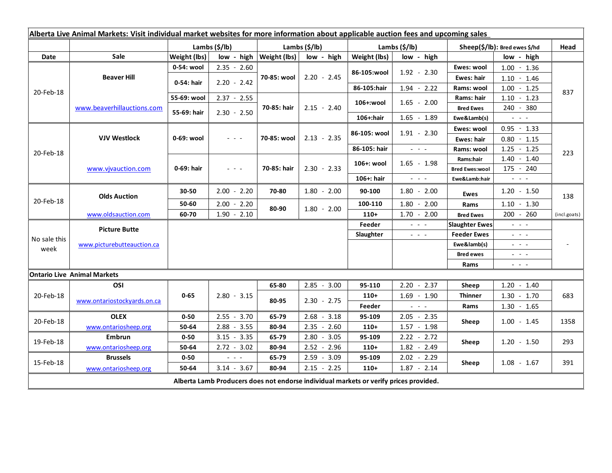| Alberta Live Animal Markets: Visit individual market websites for more information about applicable auction fees and upcoming sales |                                    |                |               |                              |               |                           |                                                                                   |                               |                                                                                                                        |              |
|-------------------------------------------------------------------------------------------------------------------------------------|------------------------------------|----------------|---------------|------------------------------|---------------|---------------------------|-----------------------------------------------------------------------------------|-------------------------------|------------------------------------------------------------------------------------------------------------------------|--------------|
|                                                                                                                                     |                                    | Lambs $(S/lb)$ |               | Lambs $(S/lb)$               |               | Lambs $(\frac{2}{3})$ lb) |                                                                                   | Sheep(\$/lb): Bred ewes \$/hd |                                                                                                                        | Head         |
| Date                                                                                                                                | <b>Sale</b>                        | Weight (lbs)   |               | $low - high   Weight (lbs) $ | low - high    | Weight (lbs)              | low - high                                                                        |                               | low - high                                                                                                             |              |
| 20-Feb-18                                                                                                                           | <b>Beaver Hill</b>                 | 0-54: wool     | $2.35 - 2.60$ | 70-85: wool                  | $2.20 - 2.45$ | 86-105:wool               | $1.92 - 2.30$                                                                     | Ewes: wool                    | $1.00 - 1.36$                                                                                                          | 837          |
|                                                                                                                                     |                                    | 0-54: hair     | $2.20 - 2.42$ |                              |               |                           |                                                                                   | <b>Ewes: hair</b>             | $1.10 - 1.46$                                                                                                          |              |
|                                                                                                                                     |                                    |                |               |                              |               | 86-105:hair               | $1.94 - 2.22$                                                                     | Rams: wool                    | $1.00 - 1.25$                                                                                                          |              |
|                                                                                                                                     | www.beaverhillauctions.com         | 55-69: wool    | $2.37 - 2.55$ | 70-85: hair                  | $2.15 - 2.40$ | 106+:wool                 | $1.65 - 2.00$                                                                     | Rams: hair                    | $1.10 - 1.23$                                                                                                          |              |
|                                                                                                                                     |                                    | 55-69: hair    | $2.30 - 2.50$ |                              |               |                           |                                                                                   | <b>Bred Ewes</b>              | 240 - 380                                                                                                              |              |
|                                                                                                                                     |                                    |                |               |                              |               | 106+:hair                 | $1.65 - 1.89$                                                                     | Ewe&Lamb(s)                   | $  -$                                                                                                                  |              |
| 20-Feb-18                                                                                                                           | <b>VJV Westlock</b>                | 0-69: wool     | 20202         | 70-85: wool                  | $2.13 - 2.35$ | 86-105: wool              | $1.91 - 2.30$                                                                     | Ewes: wool                    | $0.95 - 1.33$                                                                                                          |              |
|                                                                                                                                     |                                    |                |               |                              |               |                           |                                                                                   | Ewes: hair                    | $0.80 - 1.15$                                                                                                          |              |
|                                                                                                                                     |                                    |                |               |                              |               | 86-105: hair              | $\omega_{\rm{eff}}$ , $\omega_{\rm{eff}}$ , $\omega_{\rm{eff}}$                   | Rams: wool                    | $1.25 - 1.25$                                                                                                          | 223          |
|                                                                                                                                     | www.vivauction.com                 | 0-69: hair     | 20202         | 70-85: hair                  | $2.30 - 2.33$ | 106+: wool                | $1.65 - 1.98$                                                                     | Rams:hair                     | $1.40 - 1.40$                                                                                                          |              |
|                                                                                                                                     |                                    |                |               |                              |               |                           |                                                                                   | <b>Bred Ewes:wool</b>         | $175 - 240$                                                                                                            |              |
|                                                                                                                                     |                                    |                |               |                              |               | 106+: hair                | $\omega_{\rm{max}}$ and $\omega_{\rm{max}}$                                       | Ewe&Lamb:hair                 | $\omega_{\rm{c}}$ and $\omega_{\rm{c}}$                                                                                |              |
| 20-Feb-18                                                                                                                           | <b>Olds Auction</b>                | 30-50          | $2.00 - 2.20$ | 70-80                        | $1.80 - 2.00$ | 90-100                    | $1.80 - 2.00$                                                                     | <b>Ewes</b>                   | $1.20 - 1.50$                                                                                                          | 138          |
|                                                                                                                                     |                                    | 50-60          | $2.00 - 2.20$ | 80-90                        | $1.80 - 2.00$ | 100-110                   | $1.80 - 2.00$                                                                     | Rams                          | $1.10 - 1.30$                                                                                                          |              |
|                                                                                                                                     | www.oldsauction.com                | 60-70          | $1.90 - 2.10$ |                              |               | $110+$                    | $1.70 - 2.00$                                                                     | <b>Bred Ewes</b>              | $200 - 260$                                                                                                            | (incl.goats) |
| No sale this<br>week                                                                                                                | <b>Picture Butte</b>               |                |               |                              |               | Feeder                    | $\omega_{\rm c}$ and $\omega_{\rm c}$                                             | <b>Slaughter Ewes</b>         | $\mathbb{Z}^2$ and $\mathbb{Z}^2$                                                                                      |              |
|                                                                                                                                     | www.picturebutteauction.ca         |                |               |                              |               | Slaughter                 | $\omega_{\rm{c}}$ , $\omega_{\rm{c}}$ , $\omega_{\rm{c}}$                         | <b>Feeder Ewes</b>            | $\frac{1}{2} \left( \frac{1}{2} \right) = \frac{1}{2} \left( \frac{1}{2} \right) = \frac{1}{2}$                        |              |
|                                                                                                                                     |                                    |                |               |                              |               |                           |                                                                                   | Ewe&lamb(s)                   | $\frac{1}{2}$ and $\frac{1}{2}$                                                                                        |              |
|                                                                                                                                     |                                    |                |               |                              |               |                           |                                                                                   | <b>Bred ewes</b>              | $\frac{1}{2} \left( \frac{1}{2} \right) = \frac{1}{2} \left( \frac{1}{2} \right)$                                      |              |
|                                                                                                                                     |                                    |                |               |                              |               |                           |                                                                                   | Rams                          | $\frac{1}{2} \left( \frac{1}{2} \right) \frac{1}{2} \left( \frac{1}{2} \right) \frac{1}{2} \left( \frac{1}{2} \right)$ |              |
|                                                                                                                                     | <b>Ontario Live Animal Markets</b> |                |               |                              |               |                           |                                                                                   |                               |                                                                                                                        |              |
| 20-Feb-18                                                                                                                           | OSI                                | $0 - 65$       | $2.80 - 3.15$ | 65-80                        | $2.85 - 3.00$ | 95-110                    | $2.20 - 2.37$                                                                     | Sheep                         | $1.20 - 1.40$                                                                                                          | 683          |
|                                                                                                                                     | www.ontariostockyards.on.ca        |                |               | 80-95                        | $2.30 - 2.75$ | $110+$                    | $1.69 - 1.90$                                                                     | <b>Thinner</b><br>Rams        | $1.30 - 1.70$                                                                                                          |              |
|                                                                                                                                     |                                    |                |               |                              |               | Feeder                    | $\frac{1}{2} \left( \frac{1}{2} \right) = \frac{1}{2} \left( \frac{1}{2} \right)$ |                               | $1.30 - 1.65$                                                                                                          |              |
| 20-Feb-18                                                                                                                           | <b>OLEX</b>                        | $0 - 50$       | $2.55 - 3.70$ | 65-79                        | $2.68 - 3.18$ | 95-109                    | $2.05 - 2.35$                                                                     | Sheep                         | $1.00 - 1.45$                                                                                                          | 1358         |
|                                                                                                                                     | www.ontariosheep.org               | 50-64          | $2.88 - 3.55$ | 80-94                        | $2.35 - 2.60$ | $110+$                    | $1.57 - 1.98$                                                                     |                               |                                                                                                                        |              |
| 19-Feb-18                                                                                                                           | Embrun                             | $0 - 50$       | $3.15 - 3.35$ | 65-79                        | $2.80 - 3.05$ | 95-109                    | $2.22 - 2.72$                                                                     | Sheep                         | $1.20 - 1.50$                                                                                                          | 293          |
|                                                                                                                                     | www.ontariosheep.org               | 50-64          | $2.72 - 3.02$ | 80-94                        | $2.52 - 2.96$ | $110+$                    | $1.82 - 2.49$                                                                     |                               |                                                                                                                        |              |
| 15-Feb-18                                                                                                                           | <b>Brussels</b>                    | $0 - 50$       | - - -         | 65-79                        | $2.59 - 3.09$ | 95-109                    | $2.02 - 2.29$                                                                     | Sheep                         | $1.08 - 1.67$                                                                                                          | 391          |
|                                                                                                                                     | www.ontariosheep.org               | 50-64          | $3.14 - 3.67$ | 80-94                        | $2.15 - 2.25$ | $110+$                    | $1.87 - 2.14$                                                                     |                               |                                                                                                                        |              |
| Alberta Lamb Producers does not endorse individual markets or verify prices provided.                                               |                                    |                |               |                              |               |                           |                                                                                   |                               |                                                                                                                        |              |